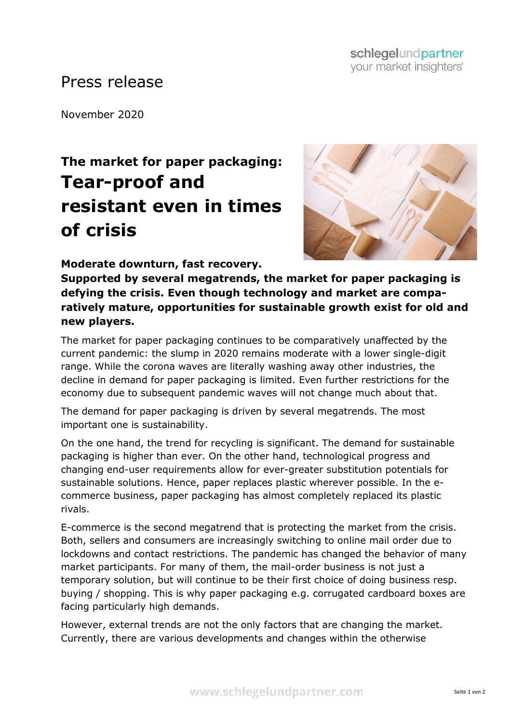## Press release

November 2020

## **The market for paper packaging: Tear-proof and resistant even in times of crisis**



**Moderate downturn, fast recovery.** 

**Supported by several megatrends, the market for paper packaging is defying the crisis. Even though technology and market are comparatively mature, opportunities for sustainable growth exist for old and new players.**

The market for paper packaging continues to be comparatively unaffected by the current pandemic: the slump in 2020 remains moderate with a lower single-digit range. While the corona waves are literally washing away other industries, the decline in demand for paper packaging is limited. Even further restrictions for the economy due to subsequent pandemic waves will not change much about that.

The demand for paper packaging is driven by several megatrends. The most important one is sustainability.

On the one hand, the trend for recycling is significant. The demand for sustainable packaging is higher than ever. On the other hand, technological progress and changing end-user requirements allow for ever-greater substitution potentials for sustainable solutions. Hence, paper replaces plastic wherever possible. In the ecommerce business, paper packaging has almost completely replaced its plastic rivals.

E-commerce is the second megatrend that is protecting the market from the crisis. Both, sellers and consumers are increasingly switching to online mail order due to lockdowns and contact restrictions. The pandemic has changed the behavior of many market participants. For many of them, the mail-order business is not just a temporary solution, but will continue to be their first choice of doing business resp. buying / shopping. This is why paper packaging e.g. corrugated cardboard boxes are facing particularly high demands.

However, external trends are not the only factors that are changing the market. Currently, there are various developments and changes within the otherwise